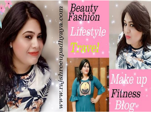

# www.rajshreeupadhyaya.com



**Beauty**<br>Fashion

Lifestyle



Make up Fitness Blog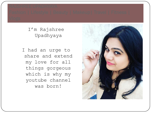

I had an urge to share and extend my love for all things gorgeous which is why my youtube channel was born!

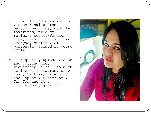- You will find a variety of videos ranging from makeup, my vlogs, monthly favorites, product reviews, beauty/fashion tips, fashion hauls to my everyday outfits, all personally filmed by yours truly.
- I frequently upload videos and getting nice viewership, also I am much active on Instagram, Snap chat, Twitter, Facebook and Roposo , Pinterest , Tik Tok and it's continuously growing.

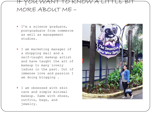## IF YOU WANT TO KNOW A LITTLE BIT MORE ABOUT ME –

- I'm a science graduate, postgraduate from commerce as well as management studies.
- I am marketing manager of a shopping mall and a self-taught makeup artist and have taught the art of makeup to many lovely ladies in the past. Out of immense love and passion I am doing blogging .
- I am obsessed with skin care and simple minimal makeup. Same with shoes, outfits, bags, and jewelry.

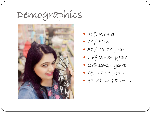# Demographics



- 40% Women
- 60% Men
- 52% 18-24 years
- 26% 25-34 years
- 12% 13-17 years
- 6% 35-44 years
- 4% Above 45 years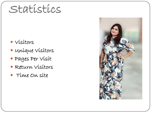# Statistics

- Visitors
- Unique Visitors
- Pages Per Visit
- Return Visitors
- Time On site

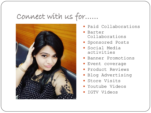# Connect with us for……



- Paid Collaborations
- Barter Collaborations
- **•** Sponsored Posts
- Social Media activities
- Banner Promotions
- Event coverage
- Product Reviews
- Blog Advertising
- Store Visits
- Youtube Videos
- IGTV Videos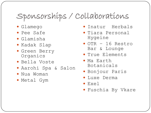# Sponsorships / Collaborations

- Glamego
- Pee Safe
- · Glamisha
- Kadak Slap
- Green Berry Organics
- · Bella Voste
- Aarohi Spa & Salon
- Nua Woman
- · Metal Gym
- · Inatur Herbals
- Tiara Personal Hygeine
- $\bullet$  OTR 16 Restro Bar & Lounge
- True Elements
- $\bullet$  Ma Earth **Botanicals**
- · Bonjour Paris
- Luxe Derma
- $\bullet$  Fixel
- Fuschia By Vkare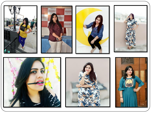











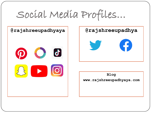Social Media Profiles…





**Blog**

**www.rajshreeupadhyaya.com**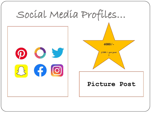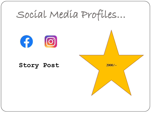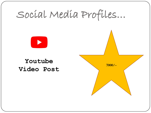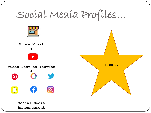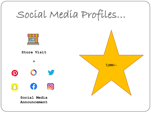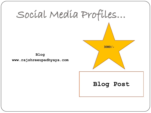